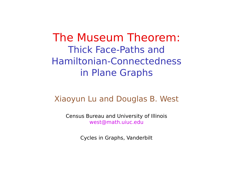The Museum Theorem: Thick Face-Paths and Hamiltonian-Connectedness in Plane Graphs

#### Xiaoyun Lu and Douglas B. West

Census Bureau and University of Illinois west@math.uiuc.edu

Cycles in Graphs, Vanderbilt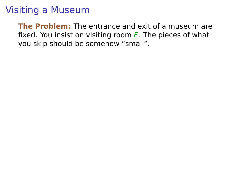**The Problem:** The entrance and exit of a museum are fixed. You insist on visiting room  $F$ . The pieces of what you skip should be somehow "small".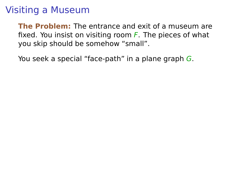**The Problem:** The entrance and exit of a museum are fixed. You insist on visiting room  $F$ . The pieces of what you skip should be somehow "small".

You seek a special "face-path" in a plane graph G.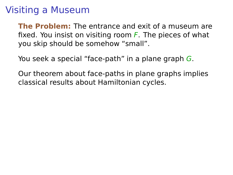**The Problem:** The entrance and exit of a museum are fixed. You insist on visiting room  $F$ . The pieces of what you skip should be somehow "small".

You seek a special "face-path" in a plane graph G.

Our theorem about face-paths in plane graphs implies classical results about Hamiltonian cycles.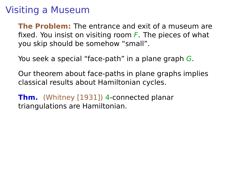**The Problem:** The entrance and exit of a museum are fixed. You insist on visiting room  $F$ . The pieces of what you skip should be somehow "small".

You seek a special "face-path" in a plane graph G.

Our theorem about face-paths in plane graphs implies classical results about Hamiltonian cycles.

**Thm.** (Whitney [1931]) 4-connected planar triangulations are Hamiltonian.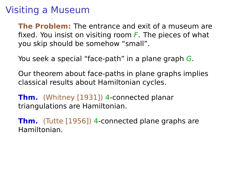**The Problem:** The entrance and exit of a museum are fixed. You insist on visiting room  $F$ . The pieces of what you skip should be somehow "small".

You seek a special "face-path" in a plane graph G.

Our theorem about face-paths in plane graphs implies classical results about Hamiltonian cycles.

**Thm.** (Whitney [1931]) 4-connected planar triangulations are Hamiltonian.

**Thm.** (Tutte [1956]) 4-connected plane graphs are Hamiltonian.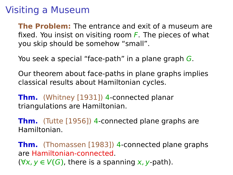**The Problem:** The entrance and exit of a museum are fixed. You insist on visiting room  $\overline{F}$ . The pieces of what you skip should be somehow "small".

You seek a special "face-path" in a plane graph G.

Our theorem about face-paths in plane graphs implies classical results about Hamiltonian cycles.

**Thm.** (Whitney [1931]) 4-connected planar triangulations are Hamiltonian.

**Thm.** (Tutte [1956]) 4-connected plane graphs are Hamiltonian.

**Thm.** (Thomassen [1983]) 4-connected plane graphs are Hamiltonian-connected.  $(\forall x, y \in V(G))$ , there is a spanning x, y-path).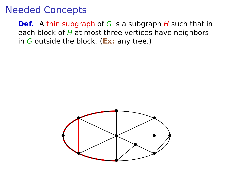**Def.** A thin subgraph of G is a subgraph H such that in each block of  $H$  at most three vertices have neighbors in G outside the block. (**Ex:** any tree.)

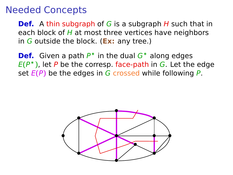**Def.** A thin subgraph of G is a subgraph H such that in each block of  $H$  at most three vertices have neighbors in G outside the block. (**Ex:** any tree.)

**Def.** Given a path P<sup>∗</sup> in the dual G<sup>∗</sup> along edges E**(**P <sup>∗</sup>**)**, let P be the corresp. face-path in G. Let the edge set  $E(P)$  be the edges in G crossed while following P.

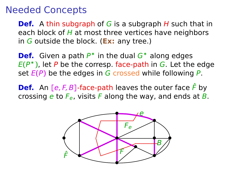**Def.** A thin subgraph of G is a subgraph H such that in each block of  $H$  at most three vertices have neighbors in G outside the block. (**Ex:** any tree.)

**Def.** Given a path P<sup>∗</sup> in the dual G<sup>∗</sup> along edges E**(**P <sup>∗</sup>**)**, let P be the corresp. face-path in G. Let the edge set  $E(P)$  be the edges in G crossed while following P.

**Def.** An  $[e, F, B]$ -face-path leaves the outer face  $\hat{F}$  by crossing e to  $F_e$ , visits F along the way, and ends at B.

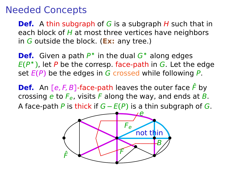**Def.** A thin subgraph of G is a subgraph H such that in each block of  $H$  at most three vertices have neighbors in G outside the block. (**Ex:** any tree.)

**Def.** Given a path P<sup>∗</sup> in the dual G<sup>∗</sup> along edges E**(**P <sup>∗</sup>**)**, let P be the corresp. face-path in G. Let the edge set  $E(P)$  be the edges in G crossed while following P.

**Def.** An  $[e, F, B]$ -face-path leaves the outer face  $\hat{F}$  by crossing e to  $F_e$ , visits F along the way, and ends at B. A face-path P is thick if G **−** E**(**P**)** is a thin subgraph of G.

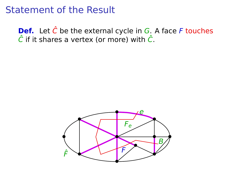#### Statement of the Result

**Def.** Let  $\hat{C}$  be the external cycle in  $G$ . A face F touches  $\hat{C}$  if it shares a vertex (or more) with  $\hat{C}$ .

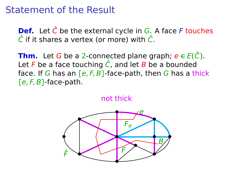#### Statement of the Result

**Def.** Let  $\hat{C}$  be the external cycle in  $G$ . A face F touches  $\hat{C}$  if it shares a vertex (or more) with  $\hat{C}$ .

**Thm.** Let G be a 2-connected plane graph;  $e \in E(\hat{C})$ . Let F be a face touching  $\hat{C}$ , and let B be a bounded face. If G has an **[**e, F, B**]**-face-path, then G has a thick **[**e, F, B**]**-face-path.

not thick

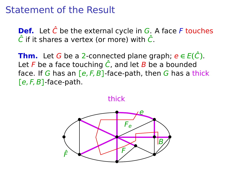#### Statement of the Result

**Def.** Let  $\hat{C}$  be the external cycle in  $G$ . A face F touches  $\hat{C}$  if it shares a vertex (or more) with  $\hat{C}$ .

**Thm.** Let G be a 2-connected plane graph;  $e \in E(\hat{C})$ . Let F be a face touching  $\hat{C}$ , and let B be a bounded face. If G has an **[**e, F, B**]**-face-path, then G has a thick **[**e, F, B**]**-face-path.

thick

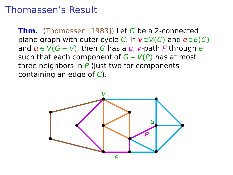#### Thomassen's Result

**Thm.** (Thomassen [1983]) Let G be a 2-connected plane graph with outer cycle C. If  $v \in V(C)$  and  $e \in E(C)$ and  $\mu \in V(G - v)$ , then G has a  $\mu$ , v-path P through e such that each component of G **−** V**(**P**)** has at most three neighbors in  $P$  (just two for components containing an edge of  $C$ ).

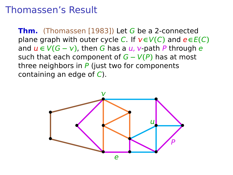#### Thomassen's Result

**Thm.** (Thomassen [1983]) Let G be a 2-connected plane graph with outer cycle C. If  $v \in V(C)$  and  $e \in E(C)$ and  $\mu \in V(G - v)$ , then G has a  $\mu$ , v-path P through e such that each component of G **−** V**(**P**)** has at most three neighbors in  $P$  (just two for components containing an edge of  $C$ ).

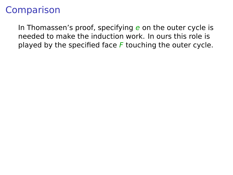## Comparison

In Thomassen's proof, specifying e on the outer cycle is needed to make the induction work. In ours this role is played by the specified face  $F$  touching the outer cycle.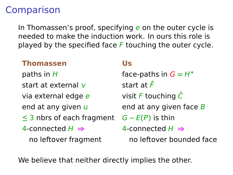## Comparison

In Thomassen's proof, specifying e on the outer cycle is needed to make the induction work. In ours this role is played by the specified face  $F$  touching the outer cycle.

#### **Thomassen Us**

start at external  $v = \frac{\sinh(\theta)}{\sinh(\theta)}$ via external edge e visit F touching  $\hat{C}$ end at any given  $\mu$  end at any given face  $\beta$ **≤** 3 nbrs of each fragment G **−** E**(**P**)** is thin 4-connected H **⇒** 4-connected H **⇒** no leftover fragment no leftover bounded face

paths in  $H$  face-paths in  $G = H^*$ 

We believe that neither directly implies the other.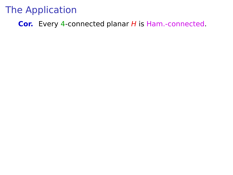**Cor.** Every 4-connected planar H is Ham.-connected.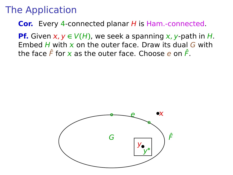**Cor.** Every 4-connected planar H is Ham.-connected.

**Pf.** Given  $x, y \in V(H)$ , we seek a spanning x, y-path in H. Embed H with  $x$  on the outer face. Draw its dual G with the face  $\hat{F}$  for x as the outer face. Choose e on  $\hat{F}$ .

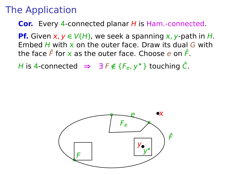**Cor.** Every 4-connected planar H is Ham.-connected.

**Pf.** Given  $x, y \in V(H)$ , we seek a spanning x, y-path in H. Embed H with  $x$  on the outer face. Draw its dual G with the face  $\hat{F}$  for x as the outer face. Choose e on  $\hat{F}$ .

*H* is 4-connected  $\Rightarrow$  ∃ *F*  $\notin$  { $F_e$ ,  $y^*$ } touching  $\hat{C}$ .

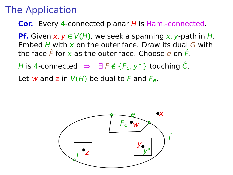**Cor.** Every 4-connected planar H is Ham.-connected.

**Pf.** Given  $x, y \in V(H)$ , we seek a spanning x, y-path in H. Embed H with  $x$  on the outer face. Draw its dual G with the face  $\hat{F}$  for x as the outer face. Choose e on  $\hat{F}$ .

*H* is 4-connected  $\Rightarrow$  ∃ *F*  $\notin$  { $F_e$ ,  $y^*$ } touching  $\hat{C}$ .

Let w and z in  $V(H)$  be dual to F and  $F_{\rho}$ .

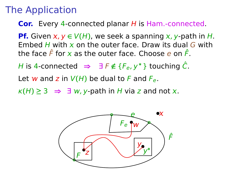**Cor.** Every 4-connected planar H is Ham.-connected.

**Pf.** Given  $x, y \in V(H)$ , we seek a spanning x, y-path in H. Embed H with  $x$  on the outer face. Draw its dual G with the face  $\hat{F}$  for x as the outer face. Choose e on  $\hat{F}$ .

H is 4-connected  $\Rightarrow$  ∃ F  $\notin$  {F<sub>e</sub>, y<sup>\*</sup>} touching  $\hat{C}$ .

Let w and z in  $V(H)$  be dual to F and  $F_{\rho}$ .

 $\kappa(H) \geq 3 \implies \exists w, y$ -path in H via z and not x.

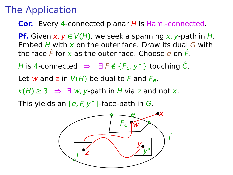**Cor.** Every 4-connected planar H is Ham.-connected.

**Pf.** Given  $x, y \in V(H)$ , we seek a spanning x, y-path in H. Embed H with  $x$  on the outer face. Draw its dual G with the face  $\hat{F}$  for x as the outer face. Choose e on  $\hat{F}$ .

H is 4-connected  $\Rightarrow$  ∃ F  $\notin$  {F<sub>e</sub>, y<sup>\*</sup>} touching  $\hat{C}$ .

Let w and z in  $V(H)$  be dual to F and  $F_{\rho}$ .

 $\kappa(H) \geq 3 \implies \exists w, y$ -path in H via z and not x.

This yields an **[**e, F, y∗**]**-face-path in G.

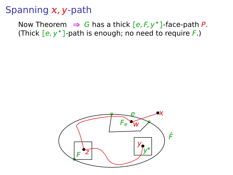#### Spanning  $x$ , y-path

Now Theorem  $\Rightarrow$  G has a thick  $[e, F, y^*]$ -face-path P. (Thick **[**e, y∗**]**-path is enough; no need to require F.)

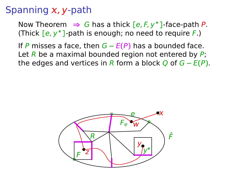### Spanning  $x$ , y-path

Now Theorem  $\Rightarrow$  G has a thick  $[e, F, y^*]$ -face-path P. (Thick **[**e, y∗**]**-path is enough; no need to require F.)

If P misses a face, then G **−** E**(**P**)** has a bounded face. Let  $\overline{R}$  be a maximal bounded region not entered by  $\overline{P}$ ; the edges and vertices in R form a block Q of  $G - E(P)$ .

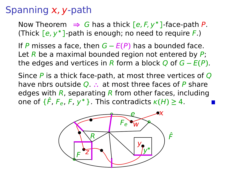## Spanning  $x$ , y-path

Now Theorem  $\Rightarrow$  G has a thick  $[e, F, y^*]$ -face-path P. (Thick **[**e, y∗**]**-path is enough; no need to require F.)

If P misses a face, then G **−** E**(**P**)** has a bounded face. Let  $\overline{R}$  be a maximal bounded region not entered by  $\overline{P}$ ; the edges and vertices in R form a block Q of  $G - E(P)$ .

Since  $\overline{P}$  is a thick face-path, at most three vertices of  $\overline{Q}$ have nbrs outside Q. **∴** at most three faces of P share edges with  $R$ , separating  $R$  from other faces, including one of  $\{\hat{F}, F_e, F, y^*\}$ . This contradicts  $\kappa(H) \geq 4$ .

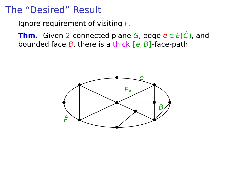Ignore requirement of visiting  $F$ .

**Thm.** Given 2-connected plane G, edge  $e \in E(\hat{C})$ , and bounded face B, there is a thick **[**e, B**]**-face-path.

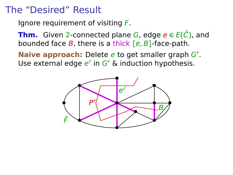Ignore requirement of visiting  $F$ .

**Thm.** Given 2-connected plane G, edge  $e \in E(\hat{C})$ , and bounded face B, there is a thick **[**e, B**]**-face-path.

**Naive approach:** Delete e to get smaller graph G**′** . Use external edge e' in G' & induction hypothesis.

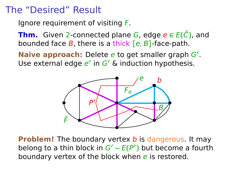Ignore requirement of visiting  $F$ .

**Thm.** Given 2-connected plane G, edge  $e \in E(\hat{C})$ , and bounded face B, there is a thick **[**e, B**]**-face-path.

**Naive approach:** Delete e to get smaller graph G**′** . Use external edge e' in G' & induction hypothesis.



**Problem!** The boundary vertex b is dangerous. It may belong to a thin block in G**′ −** E**(**P **′ )** but become a fourth boundary vertex of the block when  $e$  is restored.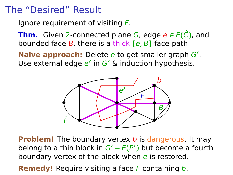Ignore requirement of visiting  $F$ .

**Thm.** Given 2-connected plane G, edge  $e \in E(\hat{C})$ , and bounded face B, there is a thick **[**e, B**]**-face-path.

**Naive approach:** Delete e to get smaller graph G**′** . Use external edge e' in G' & induction hypothesis.



**Problem!** The boundary vertex b is dangerous. It may belong to a thin block in G**′ −** E**(**P **′ )** but become a fourth boundary vertex of the block when  $e$  is restored.

**Remedy!** Require visiting a face F containing b.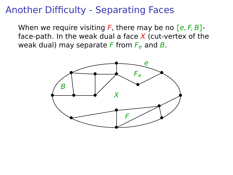## Another Difficulty - Separating Faces

When we require visiting F, there may be no **[**e, F, B**]** face-path. In the weak dual a face  $X$  (cut-vertex of the weak dual) may separate F from  $F_e$  and B.

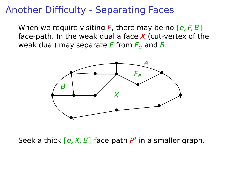## Another Difficulty - Separating Faces

When we require visiting F, there may be no **[**e, F, B**]** face-path. In the weak dual a face  $X$  (cut-vertex of the weak dual) may separate F from  $F_e$  and B.



Seek a thick **[**e, X, B**]**-face-path P **′** in a smaller graph.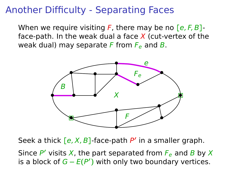## Another Difficulty - Separating Faces

When we require visiting F, there may be no **[**e, F, B**]** face-path. In the weak dual a face  $X$  (cut-vertex of the weak dual) may separate F from  $F_e$  and B.



Seek a thick **[**e, X, B**]**-face-path P **′** in a smaller graph.

Since  $P'$  visits X, the part separated from  $F_e$  and B by X is a block of G **−** E**(**P **′ )** with only two boundary vertices.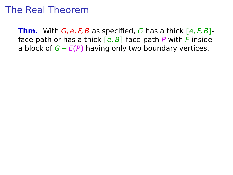## The Real Theorem

**Thm.** With G, e, F, B as specified, G has a thick **[**e, F, B**]** face-path or has a thick **[**e, B**]**-face-path P with F inside a block of G **−** E**(**P**)** having only two boundary vertices.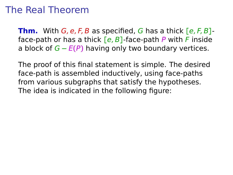## The Real Theorem

**Thm.** With G, e, F, B as specified, G has a thick **[**e, F, B**]** face-path or has a thick **[**e, B**]**-face-path P with F inside a block of G **−** E**(**P**)** having only two boundary vertices.

The proof of this final statement is simple. The desired face-path is assembled inductively, using face-paths from various subgraphs that satisfy the hypotheses. The idea is indicated in the following figure: